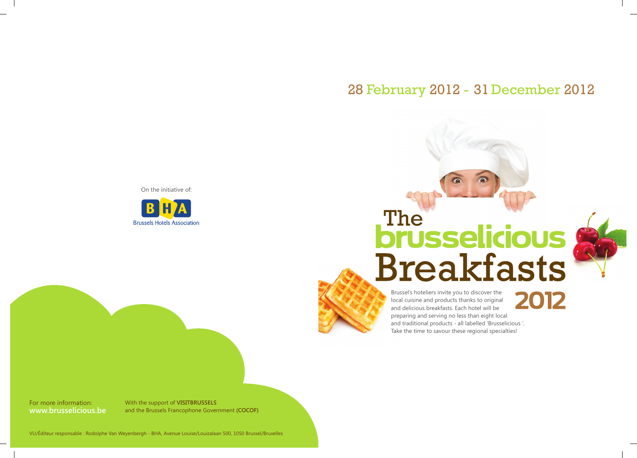### 28 February 2012 - 31 December 2012

On the initiative of:



# The<br>**brusselicious Breakfasts**



Brussel's hoteliers invite you to discover the 2012 local cuisine and products thanks to original and delicious breakfasts. Each hotel will bepreparing and serving no less than eight local and traditional products - all labelled 'Brusselicious '. Take the time to savour these regional specialties!

For more information:**www.brusselicious.be**

With the support of **VISITBRUSSELS** and the Brussels Francophone Government **(COCOF)**

VU/Éditeur responsable : Rodolphe Van Weyenbergh - BHA, Avenue Louise/Louizalaan 500, 1050 Brussel/Bruxelles